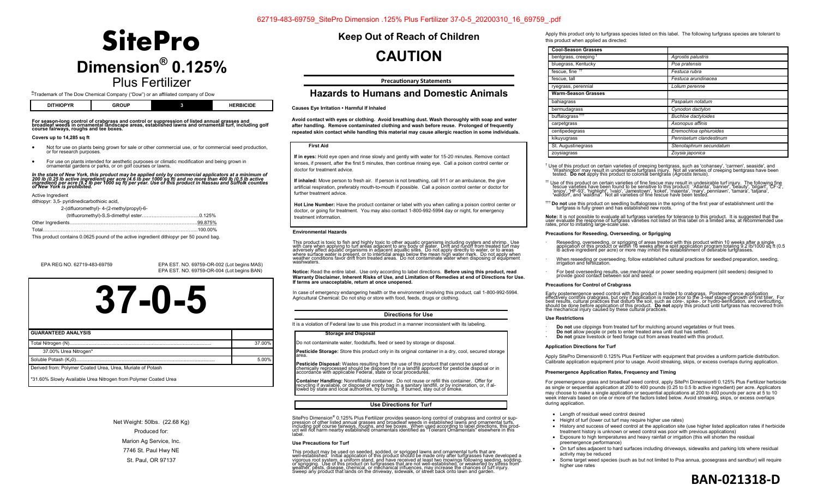# **Dimension® 0.125%**  Plus Fertilizer **SitePro**

® Trademark of The Dow Chemical Company ("Dow") or an affiliated company of Dow

| T11000T<br>.<br>Dľ<br>нш<br>ז ז<br>---<br>. |  | ------<br>.<br>п<br>⊐שו |  |
|---------------------------------------------|--|-------------------------|--|
|---------------------------------------------|--|-------------------------|--|

#### **For season-long control of crabgrass and control or suppression of listed annual grasses and broadleaf weeds in ornamental landscape areas, established lawns and ornamental turf, including golf course fairways, roughs and tee boxes.**

#### **Covers up to 14,285 sq ft**

- Not for use on plants being grown for sale or other commercial use, or for commercial seed production, or for research purposes.
- For use on plants intended for aesthetic purposes or climatic modification and being grown in ornamental gardens or parks, or on golf courses or lawns.

In the state of New York, this product may be applied only by commercial applicators at a minimum of<br>200 Ib (0.25 Ib active ingredient) per acre (4.6 Ib per 1000 sq ft) and no more than 400 Ib (0.5 Ib active<br>iof New York i

Active Ingredient

dithiopyr: 3,5- pyridinedicarbothioic acid,

| 2-(difluoromethyl)- 4-(2-methylpropyl)-6-                                               |  |
|-----------------------------------------------------------------------------------------|--|
|                                                                                         |  |
|                                                                                         |  |
|                                                                                         |  |
| This product contains 0.0625 pound of the active ingredient dithiopyr per 50 pound bag. |  |

EPA REG NO. 62719-483-69759 EPA EST. NO. 69759-OR-002 (Lot begins MAS) EPA EST. NO. 69759-OR-004 (Lot begins BAN)



| <b>GUARANTEED ANALYSIS</b>                                      |        |
|-----------------------------------------------------------------|--------|
|                                                                 | 37.00% |
| 37.00% Urea Nitrogen*                                           |        |
|                                                                 | 5.00%  |
| Derived from: Polymer Coated Urea, Urea, Muriate of Potash      |        |
| *31.60% Slowly Available Urea Nitrogen from Polymer Coated Urea |        |

Net Weight: 50lbs. (22.68 Kg) Produced for: Marion Ag Service, Inc. 7746 St. Paul Hwy NE St. Paul, OR 97137

**Keep Out of Reach of Children** 

# **CAUTION**

### **Precautionary Statements**

## **Hazards to Humans and Domestic Animals**

#### **Causes Eye Irritation • Harmful If Inhaled**

**Avoid contact with eyes or clothing. Avoid breathing dust. Wash thoroughly with soap and water after handling. Remove contaminated clothing and wash before reuse. Prolonged of frequently repeated skin contact while handling this material may cause allergic reaction in some individuals.**

#### **First Aid**

**If in eyes:** Hold eye open and rinse slowly and gently with water for 15-20 minutes. Remove contact lenses, if present, after the first 5 minutes, then continue rinsing eye. Call a poison control center or doctor for treatment advice.

**If inhaled:** Move person to fresh air. If person is not breathing, call 911 or an ambulance, the give artificial respiration, preferably mouth-to-mouth if possible. Call a poison control center or doctor for further treatment advice

**Hot Line Number:** Have the product container or label with you when calling a poison control center or doctor, or going for treatment. You may also contact 1-800-992-5994 day or night, for emergency treatment information.

#### **Environmental Hazards**

This product is toxic to fish and highly toxic to other aquatic organisms including oysters and shrimp. Use<br>with care when applying to turf areas adjacent to any body of water. Drift and runoff from treated turf may<br>awher weather conditions favor drift from treated areas. Do not contaminate water when disposing of equipment <br>washwaters.

### Notice: Read the entire label. Use only according to label directions. **Before using this product, read**<br>Warranty Disclaimer, Inherent Risks of Use, and Limitation of Remedies at end of Directions for Use. **If terms are unacceptable, return at once unopened.**

In case of emergency endangering health or the environment involving this product, call 1-800-992-5994. Agricultural Chemical: Do not ship or store with food, feeds, drugs or clothing.

#### **Directions for Use**

It is a violation of Federal law to use this product in a manner inconsistent with its labeling.

#### **Storage and Disposal**

Do not contaminate water, foodstuffs, feed or seed by storage or disposal.

**Pesticide Storage:** Store this product only in its original container in a dry, cool, secured storage<br>area.

Pesticide Disposal: Wastes resulting from the use of this product that cannot be used or chemically reprocessed should be disposed of in a landfill approved for pesticide disposal or in<br>accordance with applicable Federal, state or local procedures.

**Container Handling:** Nonrefillable container. Do not reuse or refill this container. Offer for<br>recycling if available, or dispose of empty bag in a sanitary landfill, or by incineration, or, if al-<br>lowed by state and loc

#### **Use Directions for Turf**

SitePro Dimension® 0.125% Plus Fertilizer provides season-long control of crabgrass and control or sup-<br>pression of other listed annual grasses and broadleaf weeds in established lawns and ornamental turfs,<br>including golf

#### **Use Precautions for Turf**

This product may be used on seeded, sodded, or sprigged lawns and ornamental turfs that are<br>well-established. Initial application of this product should be made only after turfgrasses have developed a<br>vigorous root system,

Apply this product only to turfgrass species listed on this label. The following turfgrass species are tolerant to this product when applied as directed:

| <b>Cool-Season Grasses</b>       |                            |
|----------------------------------|----------------------------|
| bentgrass, creeping <sup>†</sup> | Agrostis palustris         |
| bluegrass, Kentucky              | Poa pratensis              |
| fescue, fine <sup>11</sup>       | Festuca rubra              |
| fescue, tall                     | Festuca arundinacea        |
| ryegrass, perennial              | Lolium perenne             |
| <b>Warm-Season Grasses</b>       |                            |
| bahiagrass                       | Paspalum notatum           |
| bermudagrass                     | Cynodon dactylon           |
| buffalograss <sup>111</sup>      | <b>Buchloe dactyloides</b> |
| carpetgrass                      | Axonopus affinis           |
| centipedegrass                   | Eremochloa ophiuroides     |
| kikuyugrass                      | Pennisetum clandestinum    |
| St. Augustinegrass               | Stenotaphrum secundatum    |
| zoysiagrass                      | Zoysia japonica            |

<sup>†</sup> Use of this product on certain varieties of creeping bentgrass, such as 'cohansey', 'carmen', seaside', and<br>"Washington' may result in undesirable turfgrass injury. Not all varieties of creeping bentgrass have been<br>tes

<sup>tt</sup> Use of this product on certain varieties of fine fescue may result in undesirable turf injury. The following fine<br>fescue varieties have been found to be sensitive to this product: 'Atlanta', 'banner', 'beauty', 'bilga

††† **Do not** use this product on seedling buffalograss in the spring of the first year of establishment until the turfgrass is fully green and has established new roots.

**Note:** It is not possible to evaluate all turfgrass varieties for tolerance to this product. It is suggested that the<br>user evaluate the response of turfgrass varieties not listed on this label on a limited area, at recomm rates, prior to initiating large-scale use.

#### **Precautions for Reseeding, Overseeding, or Sprigging**

- Reseeding, overseeding, or sprigging of areas treated with this product within 10 weeks after a single<br>application of this product or within 16 weeks after a split application program totaling 9.2 Ib/1000 sq ft (0.5<br>Ib act
- When reseeding or overseeding, follow established cultural practices for seedbed preparation, seeding, irrigation and fertilization.
- · For best overseeding results, use mechanical or power seeding equipment (slit seeders) designed to provide good contact between soil and seed.

#### **Precautions for Control of Crabgrass**

Early postemergence weed control with this product is limited to crabgrass. Postemergence application<br>effectively controls crabgrass, but only if application is made prior to the 3-leaf stage of growth or first tiller. For

#### **Use Restrictions**

- · **Do not** use clippings from treated turf for mulching around vegetables or fruit trees.
- · **Do not** allow people or pets to enter treated area until dust has settled.
- **· Do not** graze livestock or feed forage cut from areas treated with this product.

#### **Application Directions for Turf**

Apply SitePro Dimension® 0.125% Plus Fertilizer with equipment that provides a uniform particle distribution. Calibrate application equipment prior to usage. Avoid streaking, skips, or excess overlaps during application.

#### **Preemergence Application Rates, Frequency and Timing**

For preemergence grass and broadleaf weed control, apply SitePri Dimension® 0.125% Plus Fertilizer herbicide as single or sequential application at 200 to 400 pounds (0.25 to 0.5 lb active ingredient) per acre. Applicators may choose to make a single application or sequential applications at 200 to 400 pounds per acre at 5 to 10 week intervals based on one or more of the factors listed below. Avoid streaking, skips, or excess overlaps during application.

- Length of residual weed control desired
- Height of turf (lower cut turf may require higher use rates)
- History and success of weed control at the application site (use higher listed application rates if herbicide treatment history is unknown or weed control was poor with previous applications)
- Exposure to high temperatures and heavy rainfall or irrigation (this will shorten the residual preemergence performance)
- On turf sites adjacent to hard surfaces including driveways, sidewalks and parking lots where residual activity may be reduced
- Some target weed species (such as but not limited to Poa annua, goosegrass and sandbur) will require higher use rates